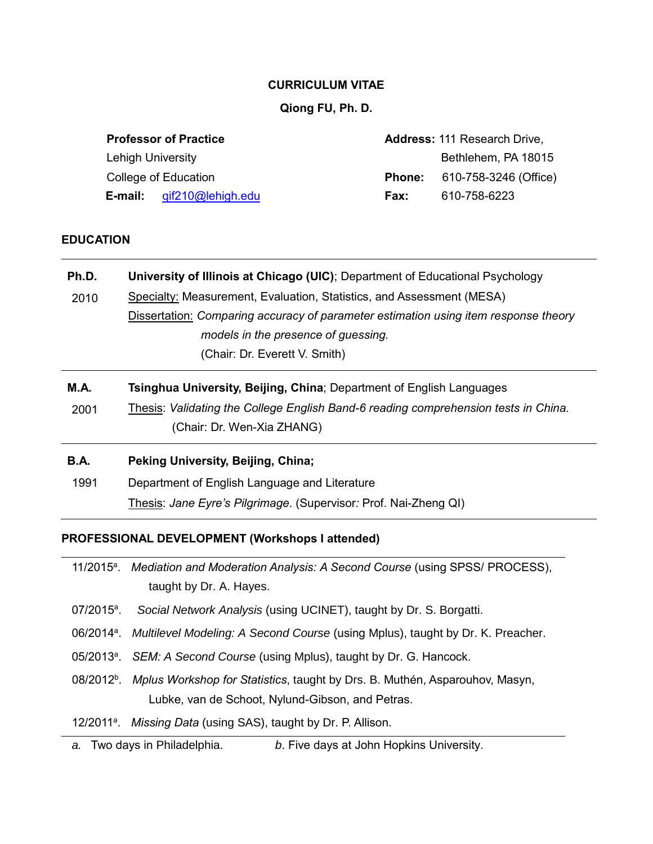### **CURRICULUM VITAE**

# **Qiong FU, Ph. D.**

| <b>Professor of Practice</b> |                                     |  |
|------------------------------|-------------------------------------|--|
| <b>Lehigh University</b>     |                                     |  |
| College of Education         |                                     |  |
|                              | <b>E-mail:</b> $qif210@$ lehigh.edu |  |

**Address:** 111 Research Drive, Bethlehem, PA 18015 **Phone:** 610-758-3246 (Office) **Fax:** 610-758-6223

# **EDUCATION**

| Ph.D.       | University of Illinois at Chicago (UIC); Department of Educational Psychology       |
|-------------|-------------------------------------------------------------------------------------|
| 2010        | Specialty: Measurement, Evaluation, Statistics, and Assessment (MESA)               |
|             | Dissertation: Comparing accuracy of parameter estimation using item response theory |
|             | models in the presence of guessing.                                                 |
|             | (Chair: Dr. Everett V. Smith)                                                       |
| <b>M.A.</b> | Tsinghua University, Beijing, China; Department of English Languages                |
| 2001        | Thesis: Validating the College English Band-6 reading comprehension tests in China. |
|             | (Chair: Dr. Wen-Xia ZHANG)                                                          |
| <b>B.A.</b> | Peking University, Beijing, China;                                                  |
| 1991        | Department of English Language and Literature                                       |
|             | Thesis: Jane Eyre's Pilgrimage. (Supervisor: Prof. Nai-Zheng QI)                    |

### **PROFESSIONAL DEVELOPMENT (Workshops I attended)**

| 11/2015 <sup>a</sup> . Mediation and Moderation Analysis: A Second Course (using SPSS/ PROCESS), |
|--------------------------------------------------------------------------------------------------|
| taught by Dr. A. Hayes.                                                                          |

- $07/2015^a$ . . *Social Network Analysis* (using UCINET), taught by Dr. S. Borgatti.
- 06/2014<sup>a</sup>. Multilevel Modeling: A Second Course (using Mplus), taught by Dr. K. Preacher.
- 05/2013<sup>a</sup>. SEM: A Second Course (using Mplus), taught by Dr. G. Hancock.
- 08/2012<sup>b</sup>. Mplus Workshop for Statistics, taught by Drs. B. Muthén, Asparouhov, Masyn, Lubke, van de Schoot, Nylund-Gibson, and Petras.
- 12/2011<sup>a</sup>. Missing Data (using SAS), taught by Dr. P. Allison.
- *a.* Two days in Philadelphia. *b*. Five days at John Hopkins University.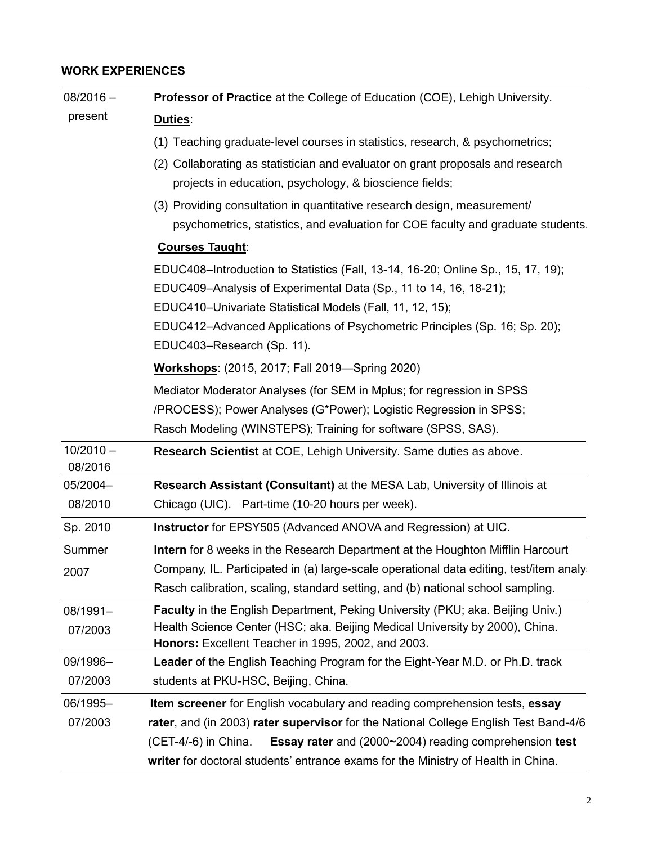# **WORK EXPERIENCES**

| $08/2016 -$            | Professor of Practice at the College of Education (COE), Lehigh University.                                                        |  |
|------------------------|------------------------------------------------------------------------------------------------------------------------------------|--|
| present                | Duties:                                                                                                                            |  |
|                        | (1) Teaching graduate-level courses in statistics, research, & psychometrics;                                                      |  |
|                        | (2) Collaborating as statistician and evaluator on grant proposals and research                                                    |  |
|                        | projects in education, psychology, & bioscience fields;                                                                            |  |
|                        | (3) Providing consultation in quantitative research design, measurement/                                                           |  |
|                        | psychometrics, statistics, and evaluation for COE faculty and graduate students                                                    |  |
|                        | <b>Courses Taught:</b>                                                                                                             |  |
|                        | EDUC408-Introduction to Statistics (Fall, 13-14, 16-20; Online Sp., 15, 17, 19);                                                   |  |
|                        | EDUC409-Analysis of Experimental Data (Sp., 11 to 14, 16, 18-21);                                                                  |  |
|                        | EDUC410-Univariate Statistical Models (Fall, 11, 12, 15);                                                                          |  |
|                        | EDUC412-Advanced Applications of Psychometric Principles (Sp. 16; Sp. 20);                                                         |  |
|                        | EDUC403-Research (Sp. 11).                                                                                                         |  |
|                        | <b>Workshops:</b> (2015, 2017; Fall 2019—Spring 2020)                                                                              |  |
|                        | Mediator Moderator Analyses (for SEM in Mplus; for regression in SPSS                                                              |  |
|                        | /PROCESS); Power Analyses (G*Power); Logistic Regression in SPSS;                                                                  |  |
|                        | Rasch Modeling (WINSTEPS); Training for software (SPSS, SAS).                                                                      |  |
| $10/2010 -$<br>08/2016 | Research Scientist at COE, Lehigh University. Same duties as above.                                                                |  |
| 05/2004-               | Research Assistant (Consultant) at the MESA Lab, University of Illinois at                                                         |  |
| 08/2010                | Chicago (UIC). Part-time (10-20 hours per week).                                                                                   |  |
| Sp. 2010               | Instructor for EPSY505 (Advanced ANOVA and Regression) at UIC.                                                                     |  |
| Summer                 | Intern for 8 weeks in the Research Department at the Houghton Mifflin Harcourt                                                     |  |
| 2007                   | Company, IL. Participated in (a) large-scale operational data editing, test/item analy                                             |  |
|                        | Rasch calibration, scaling, standard setting, and (b) national school sampling.                                                    |  |
| 08/1991-               | Faculty in the English Department, Peking University (PKU; aka. Beijing Univ.)                                                     |  |
| 07/2003                | Health Science Center (HSC; aka. Beijing Medical University by 2000), China.<br>Honors: Excellent Teacher in 1995, 2002, and 2003. |  |
| 09/1996-               | Leader of the English Teaching Program for the Eight-Year M.D. or Ph.D. track                                                      |  |
| 07/2003                | students at PKU-HSC, Beijing, China.                                                                                               |  |
| 06/1995-               | <b>Item screener</b> for English vocabulary and reading comprehension tests, essay                                                 |  |
| 07/2003                | rater, and (in 2003) rater supervisor for the National College English Test Band-4/6                                               |  |
|                        | Essay rater and (2000~2004) reading comprehension test<br>(CET-4/-6) in China.                                                     |  |
|                        | writer for doctoral students' entrance exams for the Ministry of Health in China.                                                  |  |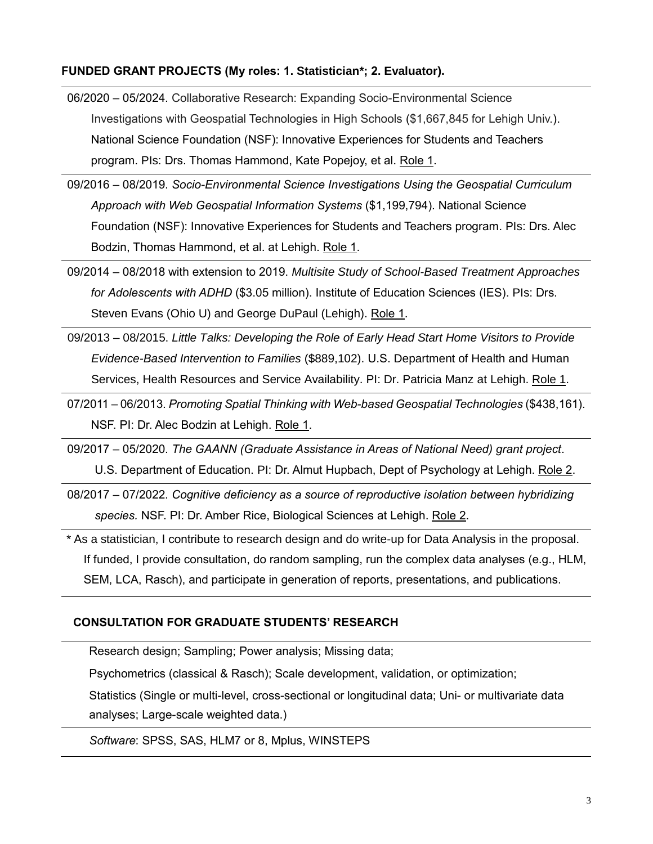### **FUNDED GRANT PROJECTS (My roles: 1. Statistician\*; 2. Evaluator).**

- 06/2020 05/2024. Collaborative Research: Expanding Socio-Environmental Science Investigations with Geospatial Technologies in High Schools (\$1,667,845 for Lehigh Univ.). National Science Foundation (NSF): Innovative Experiences for Students and Teachers program. PIs: Drs. Thomas Hammond, Kate Popejoy, et al. Role 1.
- 09/2016 08/2019. *Socio-Environmental Science Investigations Using the Geospatial Curriculum Approach with Web Geospatial Information Systems* (\$1,199,794). National Science Foundation (NSF): Innovative Experiences for Students and Teachers program. PIs: Drs. Alec Bodzin, Thomas Hammond, et al. at Lehigh. Role 1.
- 09/2014 08/2018 with extension to 2019. *Multisite Study of School-Based Treatment Approaches for Adolescents with ADHD* (\$3.05 million). Institute of Education Sciences (IES). PIs: Drs. Steven Evans (Ohio U) and George DuPaul (Lehigh). Role 1.
- 09/2013 08/2015. *Little Talks: Developing the Role of Early Head Start Home Visitors to Provide Evidence-Based Intervention to Families* (\$889,102). U.S. Department of Health and Human Services, Health Resources and Service Availability. PI: Dr. Patricia Manz at Lehigh. Role 1.
- 07/2011 06/2013. *Promoting Spatial Thinking with Web-based Geospatial Technologies* (\$438,161). NSF. PI: Dr. Alec Bodzin at Lehigh. Role 1.
- 09/2017 05/2020. *The GAANN (Graduate Assistance in Areas of National Need) grant project*. U.S. Department of Education. PI: Dr. Almut Hupbach, Dept of Psychology at Lehigh. Role 2.
- 08/2017 07/2022. *Cognitive deficiency as a source of reproductive isolation between hybridizing species.* NSF. PI: Dr. Amber Rice, Biological Sciences at Lehigh. Role 2.

*\** As a statistician, I contribute to research design and do write-up for Data Analysis in the proposal. If funded, I provide consultation, do random sampling, run the complex data analyses (e.g., HLM, SEM, LCA, Rasch), and participate in generation of reports, presentations, and publications.

### **CONSULTATION FOR GRADUATE STUDENTS' RESEARCH**

Research design; Sampling; Power analysis; Missing data;

Psychometrics (classical & Rasch); Scale development, validation, or optimization;

Statistics (Single or multi-level, cross-sectional or longitudinal data; Uni- or multivariate data analyses; Large-scale weighted data.)

*Software*: SPSS, SAS, HLM7 or 8, Mplus, WINSTEPS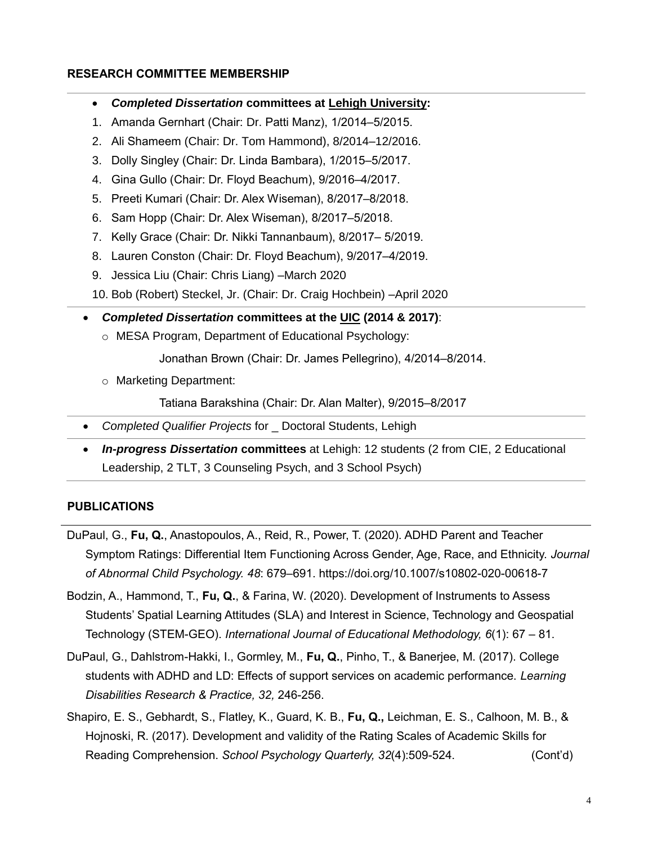### **RESEARCH COMMITTEE MEMBERSHIP**

- *Completed Dissertation* **committees at Lehigh University:**
- 1. Amanda Gernhart (Chair: Dr. Patti Manz), 1/2014–5/2015.
- 2. Ali Shameem (Chair: Dr. Tom Hammond), 8/2014–12/2016.
- 3. Dolly Singley (Chair: Dr. Linda Bambara), 1/2015–5/2017.
- 4. Gina Gullo (Chair: Dr. Floyd Beachum), 9/2016–4/2017.
- 5. Preeti Kumari (Chair: Dr. Alex Wiseman), 8/2017–8/2018.
- 6. Sam Hopp (Chair: Dr. Alex Wiseman), 8/2017–5/2018.
- 7. Kelly Grace (Chair: Dr. Nikki Tannanbaum), 8/2017– 5/2019.
- 8. Lauren Conston (Chair: Dr. Floyd Beachum), 9/2017–4/2019.
- 9. Jessica Liu (Chair: Chris Liang) –March 2020
- 10. Bob (Robert) Steckel, Jr. (Chair: Dr. Craig Hochbein) –April 2020
- *Completed Dissertation* **committees at the UIC (2014 & 2017)**:
	- o MESA Program, Department of Educational Psychology:

Jonathan Brown (Chair: Dr. James Pellegrino), 4/2014–8/2014.

o Marketing Department:

Tatiana Barakshina (Chair: Dr. Alan Malter), 9/2015–8/2017

- *Completed Qualifier Projects* for \_ Doctoral Students, Lehigh
- *In-progress Dissertation* **committees** at Lehigh: 12 students (2 from CIE, 2 Educational Leadership, 2 TLT, 3 Counseling Psych, and 3 School Psych)

# **PUBLICATIONS**

- DuPaul, G., **Fu, Q.**, Anastopoulos, A., Reid, R., Power, T. (2020). ADHD Parent and Teacher Symptom Ratings: Differential Item Functioning Across Gender, Age, Race, and Ethnicity. *Journal of Abnormal Child Psychology. 48*: 679–691. https://doi.org/10.1007/s10802-020-00618-7
- Bodzin, A., Hammond, T., **Fu, Q.**, & Farina, W. (2020). Development of Instruments to Assess Students' Spatial Learning Attitudes (SLA) and Interest in Science, Technology and Geospatial Technology (STEM-GEO). *International Journal of Educational Methodology, 6*(1): 67 – 81.
- DuPaul, G., Dahlstrom-Hakki, I., Gormley, M., **Fu, Q.**, Pinho, T., & Banerjee, M. (2017). College students with ADHD and LD: Effects of support services on academic performance. *Learning Disabilities Research & Practice, 32,* 246-256.
- Shapiro, E. S., Gebhardt, S., Flatley, K., Guard, K. B., **Fu, Q.,** Leichman, E. S., Calhoon, M. B., & Hojnoski, R. (2017). Development and validity of the Rating Scales of Academic Skills for Reading Comprehension. *School Psychology Quarterly, 32*(4):509-524. (Cont'd)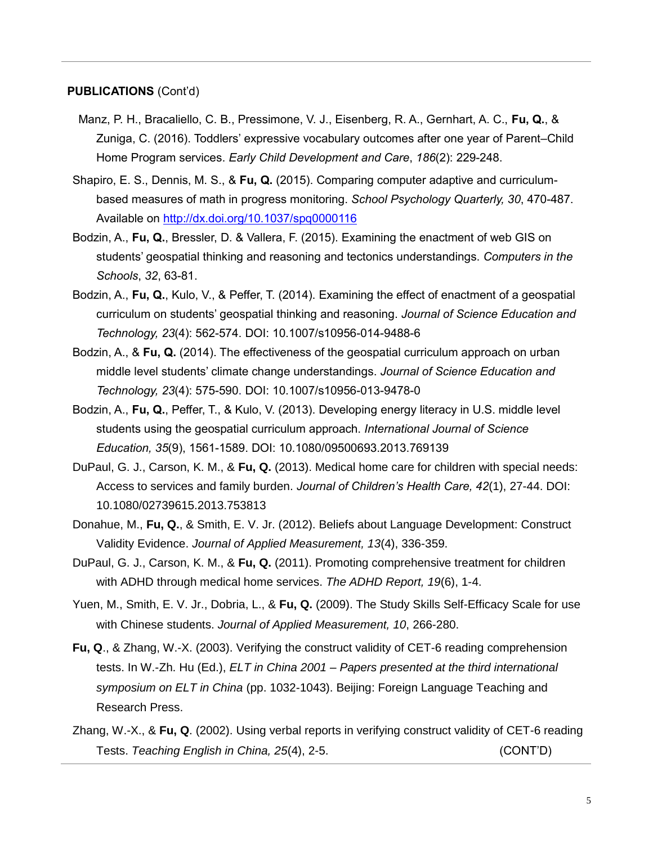### **PUBLICATIONS** (Cont'd)

- Manz, P. H., Bracaliello, C. B., Pressimone, V. J., Eisenberg, R. A., Gernhart, A. C., **Fu, Q.**, & Zuniga, C. (2016). Toddlers' expressive vocabulary outcomes after one year of Parent–Child Home Program services. *Early Child Development and Care*, *186*(2): 229-248.
- Shapiro, E. S., Dennis, M. S., & **Fu, Q.** (2015). Comparing computer adaptive and curriculumbased measures of math in progress monitoring. *School Psychology Quarterly, 30*, 470-487. Available on<http://dx.doi.org/10.1037/spq0000116>
- Bodzin, A., **Fu, Q.**, Bressler, D. & Vallera, F. (2015). Examining the enactment of web GIS on students' geospatial thinking and reasoning and tectonics understandings. *Computers in the Schools*, *32*, 63-81.
- Bodzin, A., **Fu, Q.**, Kulo, V., & Peffer, T. (2014). Examining the effect of enactment of a geospatial curriculum on students' geospatial thinking and reasoning. *Journal of Science Education and Technology, 23*(4): 562-574. DOI: 10.1007/s10956-014-9488-6
- Bodzin, A., & **Fu, Q.** (2014). The effectiveness of the geospatial curriculum approach on urban middle level students' climate change understandings. *Journal of Science Education and Technology, 23*(4): 575-590. DOI: 10.1007/s10956-013-9478-0
- Bodzin, A., **Fu, Q.**, Peffer, T., & Kulo, V. (2013). Developing energy literacy in U.S. middle level students using the geospatial curriculum approach. *International Journal of Science Education, 35*(9), 1561-1589. DOI: 10.1080/09500693.2013.769139
- DuPaul, G. J., Carson, K. M., & **Fu, Q.** (2013). Medical home care for children with special needs: Access to services and family burden. *Journal of Children's Health Care, 42*(1), 27-44. DOI: 10.1080/02739615.2013.753813
- Donahue, M., **Fu, Q.**, & Smith, E. V. Jr. (2012). Beliefs about Language Development: Construct Validity Evidence. *Journal of Applied Measurement, 13*(4), 336-359.
- DuPaul, G. J., Carson, K. M., & **Fu, Q.** (2011). Promoting comprehensive treatment for children with ADHD through medical home services. *The ADHD Report, 19*(6), 1-4.
- Yuen, M., Smith, E. V. Jr., Dobria, L., & **Fu, Q.** (2009). The Study Skills Self-Efficacy Scale for use with Chinese students. *Journal of Applied Measurement, 10*, 266-280.
- **Fu, Q**., & Zhang, W.-X. (2003). Verifying the construct validity of CET-6 reading comprehension tests. In W.-Zh. Hu (Ed.), *ELT in China 2001 – Papers presented at the third international symposium on ELT in China* (pp. 1032-1043). Beijing: Foreign Language Teaching and Research Press.
- Zhang, W.-X., & **Fu, Q**. (2002). Using verbal reports in verifying construct validity of CET-6 reading Tests. *Teaching English in China, 25*(4), 2-5. (CONT'D)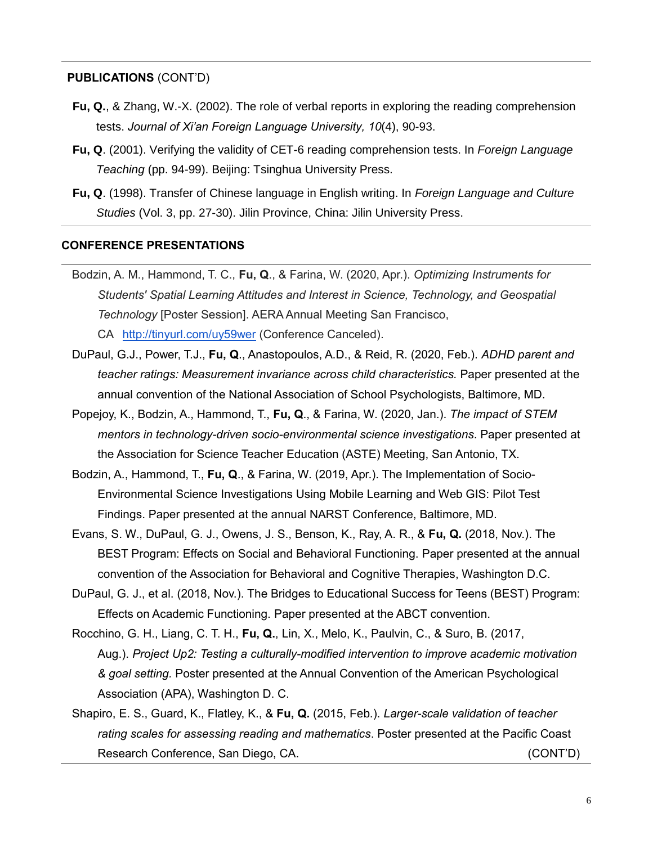### **PUBLICATIONS** (CONT'D)

- **Fu, Q.**, & Zhang, W.-X. (2002). The role of verbal reports in exploring the reading comprehension tests. *Journal of Xi'an Foreign Language University, 10*(4), 90-93.
- **Fu, Q**. (2001). Verifying the validity of CET-6 reading comprehension tests. In *Foreign Language Teaching* (pp. 94-99). Beijing: Tsinghua University Press.
- **Fu, Q**. (1998). Transfer of Chinese language in English writing. In *Foreign Language and Culture Studies* (Vol. 3, pp. 27-30). Jilin Province, China: Jilin University Press.

#### **CONFERENCE PRESENTATIONS**

- Bodzin, A. M., Hammond, T. C., **Fu, Q**., & Farina, W. (2020, Apr.). *Optimizing Instruments for Students' Spatial Learning Attitudes and Interest in Science, Technology, and Geospatial Technology* [Poster Session]. AERA Annual Meeting San Francisco, CA <http://tinyurl.com/uy59wer> (Conference Canceled).
- DuPaul, G.J., Power, T.J., **Fu, Q**., Anastopoulos, A.D., & Reid, R. (2020, Feb.). *ADHD parent and teacher ratings: Measurement invariance across child characteristics.* Paper presented at the annual convention of the National Association of School Psychologists, Baltimore, MD.
- Popejoy, K., Bodzin, A., Hammond, T., **Fu, Q**., & Farina, W. (2020, Jan.). *The impact of STEM mentors in technology-driven socio-environmental science investigations*. Paper presented at the Association for Science Teacher Education (ASTE) Meeting, San Antonio, TX.
- Bodzin, A., Hammond, T., **Fu, Q**., & Farina, W. (2019, Apr.). The Implementation of Socio-Environmental Science Investigations Using Mobile Learning and Web GIS: Pilot Test Findings. Paper presented at the annual NARST Conference, Baltimore, MD.
- Evans, S. W., DuPaul, G. J., Owens, J. S., Benson, K., Ray, A. R., & **Fu, Q.** (2018, Nov.). The BEST Program: Effects on Social and Behavioral Functioning. Paper presented at the annual convention of the Association for Behavioral and Cognitive Therapies, Washington D.C.
- DuPaul, G. J., et al. (2018, Nov.). The Bridges to Educational Success for Teens (BEST) Program: Effects on Academic Functioning. Paper presented at the ABCT convention.
- Rocchino, G. H., Liang, C. T. H., **Fu, Q.**, Lin, X., Melo, K., Paulvin, C., & Suro, B. (2017, Aug.). *Project Up2: Testing a culturally-modified intervention to improve academic motivation & goal setting.* Poster presented at the Annual Convention of the American Psychological Association (APA), Washington D. C.
- Shapiro, E. S., Guard, K., Flatley, K., & **Fu, Q.** (2015, Feb.). *Larger-scale validation of teacher rating scales for assessing reading and mathematics*. Poster presented at the Pacific Coast Research Conference, San Diego, CA. (CONT'D)